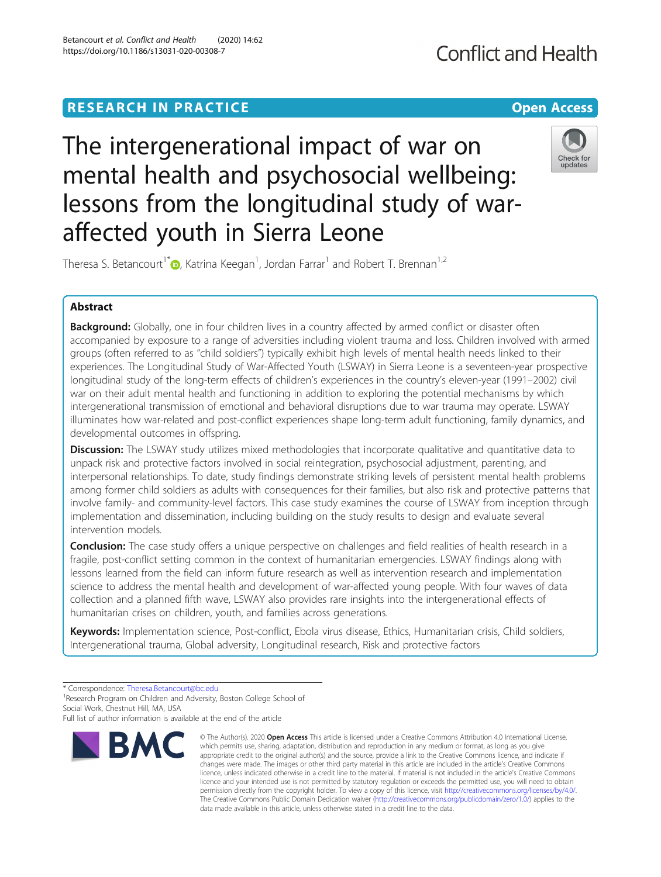The intergenerational impact of war on mental health and psychosocial wellbeing: lessons from the longitudinal study of waraffected youth in Sierra Leone



Theresa S. Betancourt<sup>1\*</sup> (**b**, Katrina Keegan<sup>1</sup>, Jordan Farrar<sup>1</sup> and Robert T. Brennan<sup>1,2</sup>

# Abstract

Background: Globally, one in four children lives in a country affected by armed conflict or disaster often accompanied by exposure to a range of adversities including violent trauma and loss. Children involved with armed groups (often referred to as "child soldiers") typically exhibit high levels of mental health needs linked to their experiences. The Longitudinal Study of War-Affected Youth (LSWAY) in Sierra Leone is a seventeen-year prospective longitudinal study of the long-term effects of children's experiences in the country's eleven-year (1991–2002) civil war on their adult mental health and functioning in addition to exploring the potential mechanisms by which intergenerational transmission of emotional and behavioral disruptions due to war trauma may operate. LSWAY illuminates how war-related and post-conflict experiences shape long-term adult functioning, family dynamics, and developmental outcomes in offspring.

**Discussion:** The LSWAY study utilizes mixed methodologies that incorporate qualitative and quantitative data to unpack risk and protective factors involved in social reintegration, psychosocial adjustment, parenting, and interpersonal relationships. To date, study findings demonstrate striking levels of persistent mental health problems among former child soldiers as adults with consequences for their families, but also risk and protective patterns that involve family- and community-level factors. This case study examines the course of LSWAY from inception through implementation and dissemination, including building on the study results to design and evaluate several intervention models.

**Conclusion:** The case study offers a unique perspective on challenges and field realities of health research in a fragile, post-conflict setting common in the context of humanitarian emergencies. LSWAY findings along with lessons learned from the field can inform future research as well as intervention research and implementation science to address the mental health and development of war-affected young people. With four waves of data collection and a planned fifth wave, LSWAY also provides rare insights into the intergenerational effects of humanitarian crises on children, youth, and families across generations.

Keywords: Implementation science, Post-conflict, Ebola virus disease, Ethics, Humanitarian crisis, Child soldiers, Intergenerational trauma, Global adversity, Longitudinal research, Risk and protective factors

Full list of author information is available at the end of the article



<sup>©</sup> The Author(s), 2020 **Open Access** This article is licensed under a Creative Commons Attribution 4.0 International License, which permits use, sharing, adaptation, distribution and reproduction in any medium or format, as long as you give appropriate credit to the original author(s) and the source, provide a link to the Creative Commons licence, and indicate if changes were made. The images or other third party material in this article are included in the article's Creative Commons licence, unless indicated otherwise in a credit line to the material. If material is not included in the article's Creative Commons licence and your intended use is not permitted by statutory regulation or exceeds the permitted use, you will need to obtain permission directly from the copyright holder. To view a copy of this licence, visit [http://creativecommons.org/licenses/by/4.0/.](http://creativecommons.org/licenses/by/4.0/) The Creative Commons Public Domain Dedication waiver [\(http://creativecommons.org/publicdomain/zero/1.0/](http://creativecommons.org/publicdomain/zero/1.0/)) applies to the data made available in this article, unless otherwise stated in a credit line to the data.

<sup>\*</sup> Correspondence: [Theresa.Betancourt@bc.edu](mailto:Theresa.Betancourt@bc.edu) <sup>1</sup>

<sup>&</sup>lt;sup>1</sup> Research Program on Children and Adversity, Boston College School of Social Work, Chestnut Hill, MA, USA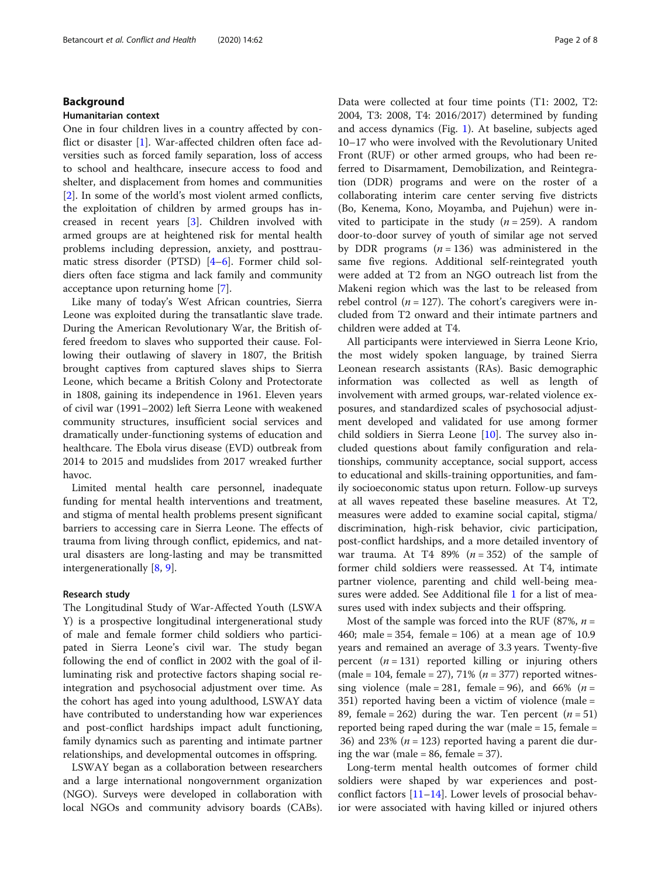## Background

### Humanitarian context

One in four children lives in a country affected by conflict or disaster [[1\]](#page-6-0). War-affected children often face adversities such as forced family separation, loss of access to school and healthcare, insecure access to food and shelter, and displacement from homes and communities [[2\]](#page-6-0). In some of the world's most violent armed conflicts, the exploitation of children by armed groups has increased in recent years [[3\]](#page-6-0). Children involved with armed groups are at heightened risk for mental health problems including depression, anxiety, and posttraumatic stress disorder (PTSD) [\[4](#page-6-0)–[6](#page-7-0)]. Former child soldiers often face stigma and lack family and community acceptance upon returning home [[7\]](#page-7-0).

Like many of today's West African countries, Sierra Leone was exploited during the transatlantic slave trade. During the American Revolutionary War, the British offered freedom to slaves who supported their cause. Following their outlawing of slavery in 1807, the British brought captives from captured slaves ships to Sierra Leone, which became a British Colony and Protectorate in 1808, gaining its independence in 1961. Eleven years of civil war (1991–2002) left Sierra Leone with weakened community structures, insufficient social services and dramatically under-functioning systems of education and healthcare. The Ebola virus disease (EVD) outbreak from 2014 to 2015 and mudslides from 2017 wreaked further havoc.

Limited mental health care personnel, inadequate funding for mental health interventions and treatment, and stigma of mental health problems present significant barriers to accessing care in Sierra Leone. The effects of trauma from living through conflict, epidemics, and natural disasters are long-lasting and may be transmitted intergenerationally [\[8](#page-7-0), [9](#page-7-0)].

### Research study

The Longitudinal Study of War-Affected Youth (LSWA Y) is a prospective longitudinal intergenerational study of male and female former child soldiers who participated in Sierra Leone's civil war. The study began following the end of conflict in 2002 with the goal of illuminating risk and protective factors shaping social reintegration and psychosocial adjustment over time. As the cohort has aged into young adulthood, LSWAY data have contributed to understanding how war experiences and post-conflict hardships impact adult functioning, family dynamics such as parenting and intimate partner relationships, and developmental outcomes in offspring.

LSWAY began as a collaboration between researchers and a large international nongovernment organization (NGO). Surveys were developed in collaboration with local NGOs and community advisory boards (CABs).

Data were collected at four time points (T1: 2002, T2: 2004, T3: 2008, T4: 2016/2017) determined by funding and access dynamics (Fig. [1\)](#page-2-0). At baseline, subjects aged 10–17 who were involved with the Revolutionary United Front (RUF) or other armed groups, who had been referred to Disarmament, Demobilization, and Reintegration (DDR) programs and were on the roster of a collaborating interim care center serving five districts (Bo, Kenema, Kono, Moyamba, and Pujehun) were invited to participate in the study  $(n = 259)$ . A random door-to-door survey of youth of similar age not served by DDR programs  $(n = 136)$  was administered in the same five regions. Additional self-reintegrated youth were added at T2 from an NGO outreach list from the Makeni region which was the last to be released from rebel control ( $n = 127$ ). The cohort's caregivers were included from T2 onward and their intimate partners and children were added at T4.

All participants were interviewed in Sierra Leone Krio, the most widely spoken language, by trained Sierra Leonean research assistants (RAs). Basic demographic information was collected as well as length of involvement with armed groups, war-related violence exposures, and standardized scales of psychosocial adjustment developed and validated for use among former child soldiers in Sierra Leone [[10\]](#page-7-0). The survey also included questions about family configuration and relationships, community acceptance, social support, access to educational and skills-training opportunities, and family socioeconomic status upon return. Follow-up surveys at all waves repeated these baseline measures. At T2, measures were added to examine social capital, stigma/ discrimination, high-risk behavior, civic participation, post-conflict hardships, and a more detailed inventory of war trauma. At T4 89%  $(n = 352)$  of the sample of former child soldiers were reassessed. At T4, intimate partner violence, parenting and child well-being measures were added. See Additional file [1](#page-6-0) for a list of measures used with index subjects and their offspring.

Most of the sample was forced into the RUF (87%,  $n =$ 460; male = 354, female = 106) at a mean age of 10.9 years and remained an average of 3.3 years. Twenty-five percent  $(n = 131)$  reported killing or injuring others  $(male = 104, female = 27), 71% (*n* = 377) reported witness$ sing violence (male = 281, female = 96), and 66% ( $n =$ 351) reported having been a victim of violence (male = 89, female = 262) during the war. Ten percent  $(n = 51)$ reported being raped during the war (male  $= 15$ , female  $=$ 36) and 23% ( $n = 123$ ) reported having a parent die during the war (male =  $86$ , female =  $37$ ).

Long-term mental health outcomes of former child soldiers were shaped by war experiences and postconflict factors [\[11](#page-7-0)–[14\]](#page-7-0). Lower levels of prosocial behavior were associated with having killed or injured others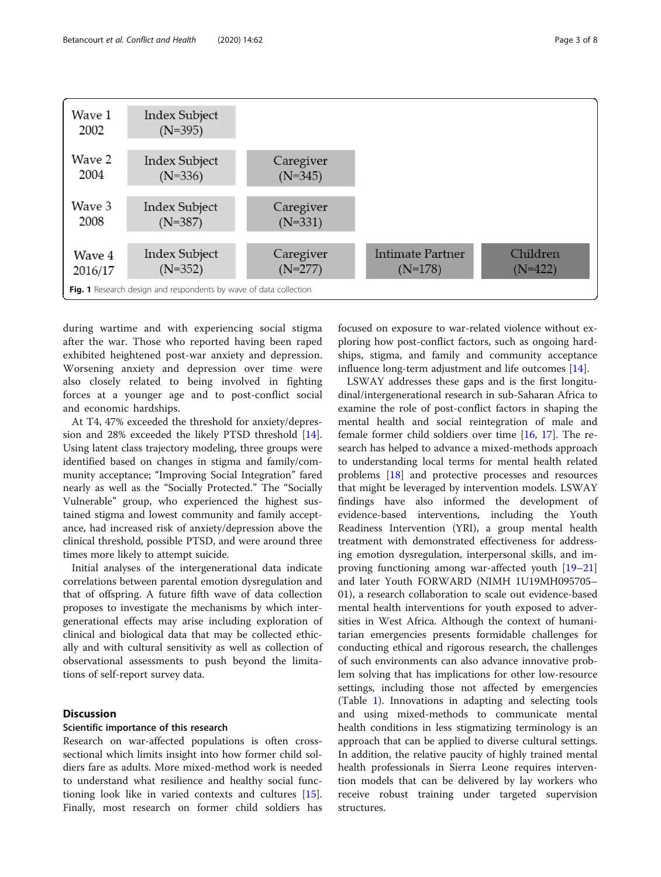<span id="page-2-0"></span>Betancourt et al. Conflict and Health (2020) 14:62 Page 3 of 8



during wartime and with experiencing social stigma after the war. Those who reported having been raped exhibited heightened post-war anxiety and depression. Worsening anxiety and depression over time were also closely related to being involved in fighting forces at a younger age and to post-conflict social and economic hardships.

At T4, 47% exceeded the threshold for anxiety/depression and 28% exceeded the likely PTSD threshold [\[14](#page-7-0)]. Using latent class trajectory modeling, three groups were identified based on changes in stigma and family/community acceptance; "Improving Social Integration" fared nearly as well as the "Socially Protected." The "Socially Vulnerable" group, who experienced the highest sustained stigma and lowest community and family acceptance, had increased risk of anxiety/depression above the clinical threshold, possible PTSD, and were around three times more likely to attempt suicide.

Initial analyses of the intergenerational data indicate correlations between parental emotion dysregulation and that of offspring. A future fifth wave of data collection proposes to investigate the mechanisms by which intergenerational effects may arise including exploration of clinical and biological data that may be collected ethically and with cultural sensitivity as well as collection of observational assessments to push beyond the limitations of self-report survey data.

# **Discussion**

### Scientific importance of this research

Research on war-affected populations is often crosssectional which limits insight into how former child soldiers fare as adults. More mixed-method work is needed to understand what resilience and healthy social functioning look like in varied contexts and cultures [\[15](#page-7-0)]. Finally, most research on former child soldiers has focused on exposure to war-related violence without exploring how post-conflict factors, such as ongoing hardships, stigma, and family and community acceptance influence long-term adjustment and life outcomes [\[14\]](#page-7-0).

LSWAY addresses these gaps and is the first longitudinal/intergenerational research in sub-Saharan Africa to examine the role of post-conflict factors in shaping the mental health and social reintegration of male and female former child soldiers over time [\[16](#page-7-0), [17\]](#page-7-0). The research has helped to advance a mixed-methods approach to understanding local terms for mental health related problems [\[18](#page-7-0)] and protective processes and resources that might be leveraged by intervention models. LSWAY findings have also informed the development of evidence-based interventions, including the Youth Readiness Intervention (YRI), a group mental health treatment with demonstrated effectiveness for addressing emotion dysregulation, interpersonal skills, and improving functioning among war-affected youth [[19](#page-7-0)–[21](#page-7-0)] and later Youth FORWARD (NIMH 1U19MH095705– 01), a research collaboration to scale out evidence-based mental health interventions for youth exposed to adversities in West Africa. Although the context of humanitarian emergencies presents formidable challenges for conducting ethical and rigorous research, the challenges of such environments can also advance innovative problem solving that has implications for other low-resource settings, including those not affected by emergencies (Table [1\)](#page-3-0). Innovations in adapting and selecting tools and using mixed-methods to communicate mental health conditions in less stigmatizing terminology is an approach that can be applied to diverse cultural settings. In addition, the relative paucity of highly trained mental health professionals in Sierra Leone requires intervention models that can be delivered by lay workers who receive robust training under targeted supervision structures.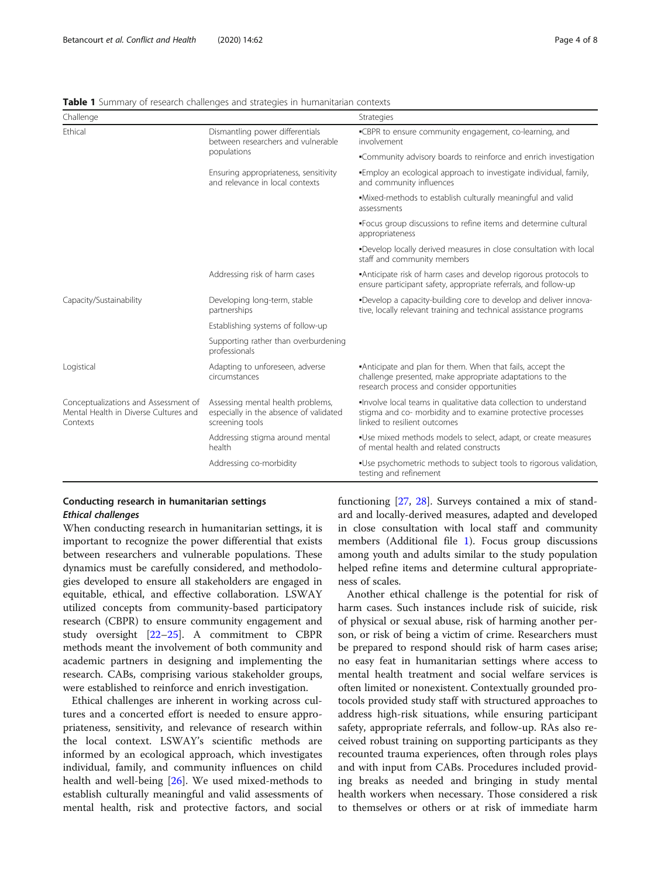<span id="page-3-0"></span>

|  |  | Table 1 Summary of research challenges and strategies in humanitarian contexts |  |
|--|--|--------------------------------------------------------------------------------|--|
|  |  |                                                                                |  |

| Challenge                                                                                 |                                                                                                | Strategies                                                                                                                                                             |  |
|-------------------------------------------------------------------------------------------|------------------------------------------------------------------------------------------------|------------------------------------------------------------------------------------------------------------------------------------------------------------------------|--|
| Ethical                                                                                   | Dismantling power differentials<br>between researchers and vulnerable                          | .CBPR to ensure community engagement, co-learning, and<br>involvement                                                                                                  |  |
|                                                                                           | populations                                                                                    | •Community advisory boards to reinforce and enrich investigation                                                                                                       |  |
|                                                                                           | Ensuring appropriateness, sensitivity<br>and relevance in local contexts                       | . Employ an ecological approach to investigate individual, family,<br>and community influences                                                                         |  |
|                                                                                           |                                                                                                | •Mixed-methods to establish culturally meaningful and valid<br>assessments                                                                                             |  |
|                                                                                           |                                                                                                | •Focus group discussions to refine items and determine cultural<br>appropriateness                                                                                     |  |
|                                                                                           |                                                                                                | -Develop locally derived measures in close consultation with local<br>staff and community members                                                                      |  |
|                                                                                           | Addressing risk of harm cases                                                                  | Anticipate risk of harm cases and develop rigorous protocols to<br>ensure participant safety, appropriate referrals, and follow-up                                     |  |
| Capacity/Sustainability                                                                   | Developing long-term, stable<br>partnerships                                                   | -Develop a capacity-building core to develop and deliver innova-<br>tive, locally relevant training and technical assistance programs                                  |  |
|                                                                                           | Establishing systems of follow-up                                                              |                                                                                                                                                                        |  |
|                                                                                           | Supporting rather than overburdening<br>professionals                                          |                                                                                                                                                                        |  |
| Logistical                                                                                | Adapting to unforeseen, adverse<br>circumstances                                               | . Anticipate and plan for them. When that fails, accept the<br>challenge presented, make appropriate adaptations to the<br>research process and consider opportunities |  |
| Conceptualizations and Assessment of<br>Mental Health in Diverse Cultures and<br>Contexts | Assessing mental health problems,<br>especially in the absence of validated<br>screening tools | . Involve local teams in qualitative data collection to understand<br>stigma and co- morbidity and to examine protective processes<br>linked to resilient outcomes     |  |
|                                                                                           | Addressing stigma around mental<br>health                                                      | . Use mixed methods models to select, adapt, or create measures<br>of mental health and related constructs                                                             |  |
|                                                                                           | Addressing co-morbidity                                                                        | . Use psychometric methods to subject tools to rigorous validation,<br>testing and refinement                                                                          |  |

# Conducting research in humanitarian settings Ethical challenges

When conducting research in humanitarian settings, it is important to recognize the power differential that exists between researchers and vulnerable populations. These dynamics must be carefully considered, and methodologies developed to ensure all stakeholders are engaged in equitable, ethical, and effective collaboration. LSWAY utilized concepts from community-based participatory research (CBPR) to ensure community engagement and study oversight [\[22](#page-7-0)–[25\]](#page-7-0). A commitment to CBPR methods meant the involvement of both community and academic partners in designing and implementing the research. CABs, comprising various stakeholder groups, were established to reinforce and enrich investigation.

Ethical challenges are inherent in working across cultures and a concerted effort is needed to ensure appropriateness, sensitivity, and relevance of research within the local context. LSWAY's scientific methods are informed by an ecological approach, which investigates individual, family, and community influences on child health and well-being [\[26](#page-7-0)]. We used mixed-methods to establish culturally meaningful and valid assessments of mental health, risk and protective factors, and social functioning [[27,](#page-7-0) [28\]](#page-7-0). Surveys contained a mix of standard and locally-derived measures, adapted and developed in close consultation with local staff and community members (Additional file [1\)](#page-6-0). Focus group discussions among youth and adults similar to the study population helped refine items and determine cultural appropriateness of scales.

Another ethical challenge is the potential for risk of harm cases. Such instances include risk of suicide, risk of physical or sexual abuse, risk of harming another person, or risk of being a victim of crime. Researchers must be prepared to respond should risk of harm cases arise; no easy feat in humanitarian settings where access to mental health treatment and social welfare services is often limited or nonexistent. Contextually grounded protocols provided study staff with structured approaches to address high-risk situations, while ensuring participant safety, appropriate referrals, and follow-up. RAs also received robust training on supporting participants as they recounted trauma experiences, often through roles plays and with input from CABs. Procedures included providing breaks as needed and bringing in study mental health workers when necessary. Those considered a risk to themselves or others or at risk of immediate harm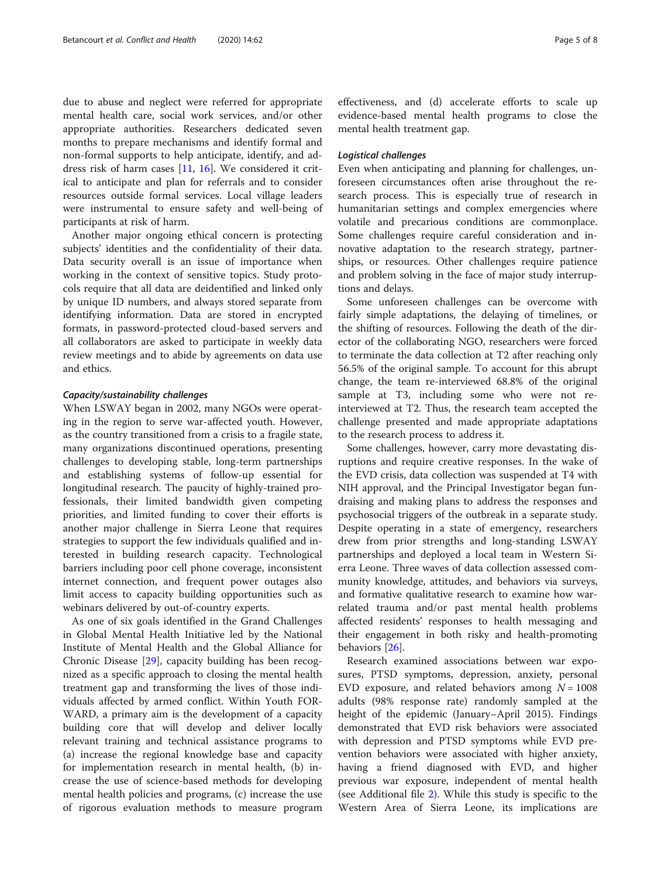due to abuse and neglect were referred for appropriate mental health care, social work services, and/or other appropriate authorities. Researchers dedicated seven months to prepare mechanisms and identify formal and non-formal supports to help anticipate, identify, and address risk of harm cases [[11,](#page-7-0) [16](#page-7-0)]. We considered it critical to anticipate and plan for referrals and to consider resources outside formal services. Local village leaders were instrumental to ensure safety and well-being of participants at risk of harm.

Another major ongoing ethical concern is protecting subjects' identities and the confidentiality of their data. Data security overall is an issue of importance when working in the context of sensitive topics. Study protocols require that all data are deidentified and linked only by unique ID numbers, and always stored separate from identifying information. Data are stored in encrypted formats, in password-protected cloud-based servers and all collaborators are asked to participate in weekly data review meetings and to abide by agreements on data use and ethics.

### Capacity/sustainability challenges

When LSWAY began in 2002, many NGOs were operating in the region to serve war-affected youth. However, as the country transitioned from a crisis to a fragile state, many organizations discontinued operations, presenting challenges to developing stable, long-term partnerships and establishing systems of follow-up essential for longitudinal research. The paucity of highly-trained professionals, their limited bandwidth given competing priorities, and limited funding to cover their efforts is another major challenge in Sierra Leone that requires strategies to support the few individuals qualified and interested in building research capacity. Technological barriers including poor cell phone coverage, inconsistent internet connection, and frequent power outages also limit access to capacity building opportunities such as webinars delivered by out-of-country experts.

As one of six goals identified in the Grand Challenges in Global Mental Health Initiative led by the National Institute of Mental Health and the Global Alliance for Chronic Disease [\[29\]](#page-7-0), capacity building has been recognized as a specific approach to closing the mental health treatment gap and transforming the lives of those individuals affected by armed conflict. Within Youth FOR-WARD, a primary aim is the development of a capacity building core that will develop and deliver locally relevant training and technical assistance programs to (a) increase the regional knowledge base and capacity for implementation research in mental health, (b) increase the use of science-based methods for developing mental health policies and programs, (c) increase the use of rigorous evaluation methods to measure program

effectiveness, and (d) accelerate efforts to scale up evidence-based mental health programs to close the mental health treatment gap.

### Logistical challenges

Even when anticipating and planning for challenges, unforeseen circumstances often arise throughout the research process. This is especially true of research in humanitarian settings and complex emergencies where volatile and precarious conditions are commonplace. Some challenges require careful consideration and innovative adaptation to the research strategy, partnerships, or resources. Other challenges require patience and problem solving in the face of major study interruptions and delays.

Some unforeseen challenges can be overcome with fairly simple adaptations, the delaying of timelines, or the shifting of resources. Following the death of the director of the collaborating NGO, researchers were forced to terminate the data collection at T2 after reaching only 56.5% of the original sample. To account for this abrupt change, the team re-interviewed 68.8% of the original sample at T3, including some who were not reinterviewed at T2. Thus, the research team accepted the challenge presented and made appropriate adaptations to the research process to address it.

Some challenges, however, carry more devastating disruptions and require creative responses. In the wake of the EVD crisis, data collection was suspended at T4 with NIH approval, and the Principal Investigator began fundraising and making plans to address the responses and psychosocial triggers of the outbreak in a separate study. Despite operating in a state of emergency, researchers drew from prior strengths and long-standing LSWAY partnerships and deployed a local team in Western Sierra Leone. Three waves of data collection assessed community knowledge, attitudes, and behaviors via surveys, and formative qualitative research to examine how warrelated trauma and/or past mental health problems affected residents' responses to health messaging and their engagement in both risky and health-promoting behaviors [[26](#page-7-0)].

Research examined associations between war exposures, PTSD symptoms, depression, anxiety, personal EVD exposure, and related behaviors among  $N = 1008$ adults (98% response rate) randomly sampled at the height of the epidemic (January–April 2015). Findings demonstrated that EVD risk behaviors were associated with depression and PTSD symptoms while EVD prevention behaviors were associated with higher anxiety, having a friend diagnosed with EVD, and higher previous war exposure, independent of mental health (see Additional file [2\)](#page-6-0). While this study is specific to the Western Area of Sierra Leone, its implications are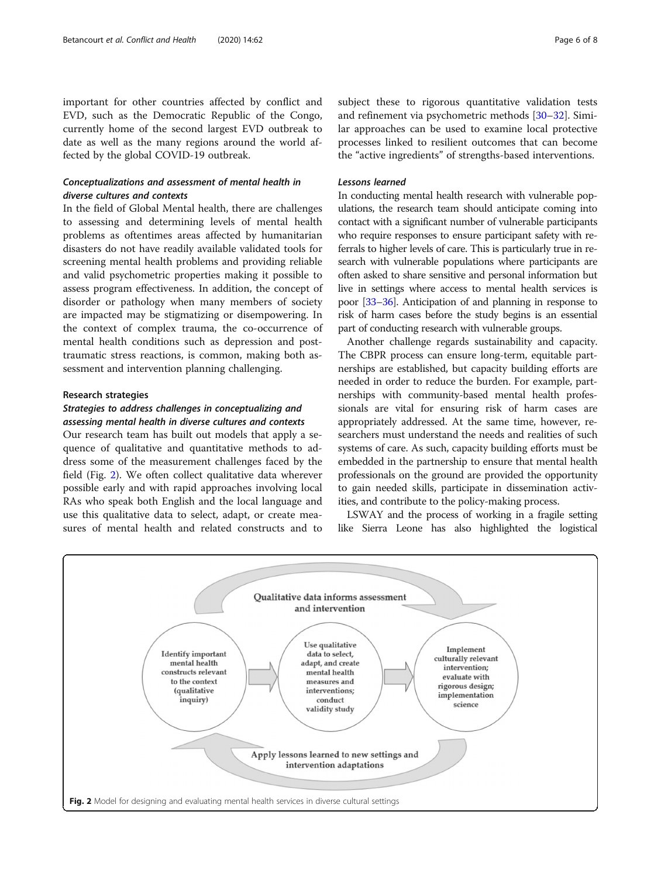Betancourt et al. Conflict and Health (2020) 14:62 Page 6 of 8

important for other countries affected by conflict and EVD, such as the Democratic Republic of the Congo, currently home of the second largest EVD outbreak to date as well as the many regions around the world affected by the global COVID-19 outbreak.

# Conceptualizations and assessment of mental health in diverse cultures and contexts

In the field of Global Mental health, there are challenges to assessing and determining levels of mental health problems as oftentimes areas affected by humanitarian disasters do not have readily available validated tools for screening mental health problems and providing reliable and valid psychometric properties making it possible to assess program effectiveness. In addition, the concept of disorder or pathology when many members of society are impacted may be stigmatizing or disempowering. In the context of complex trauma, the co-occurrence of mental health conditions such as depression and posttraumatic stress reactions, is common, making both assessment and intervention planning challenging.

### Research strategies

# Strategies to address challenges in conceptualizing and assessing mental health in diverse cultures and contexts

Our research team has built out models that apply a sequence of qualitative and quantitative methods to address some of the measurement challenges faced by the field (Fig. 2). We often collect qualitative data wherever possible early and with rapid approaches involving local RAs who speak both English and the local language and use this qualitative data to select, adapt, or create measures of mental health and related constructs and to subject these to rigorous quantitative validation tests and refinement via psychometric methods [[30](#page-7-0)–[32\]](#page-7-0). Similar approaches can be used to examine local protective processes linked to resilient outcomes that can become the "active ingredients" of strengths-based interventions.

### Lessons learned

In conducting mental health research with vulnerable populations, the research team should anticipate coming into contact with a significant number of vulnerable participants who require responses to ensure participant safety with referrals to higher levels of care. This is particularly true in research with vulnerable populations where participants are often asked to share sensitive and personal information but live in settings where access to mental health services is poor [[33](#page-7-0)–[36](#page-7-0)]. Anticipation of and planning in response to risk of harm cases before the study begins is an essential part of conducting research with vulnerable groups.

Another challenge regards sustainability and capacity. The CBPR process can ensure long-term, equitable partnerships are established, but capacity building efforts are needed in order to reduce the burden. For example, partnerships with community-based mental health professionals are vital for ensuring risk of harm cases are appropriately addressed. At the same time, however, researchers must understand the needs and realities of such systems of care. As such, capacity building efforts must be embedded in the partnership to ensure that mental health professionals on the ground are provided the opportunity to gain needed skills, participate in dissemination activities, and contribute to the policy-making process.

LSWAY and the process of working in a fragile setting like Sierra Leone has also highlighted the logistical

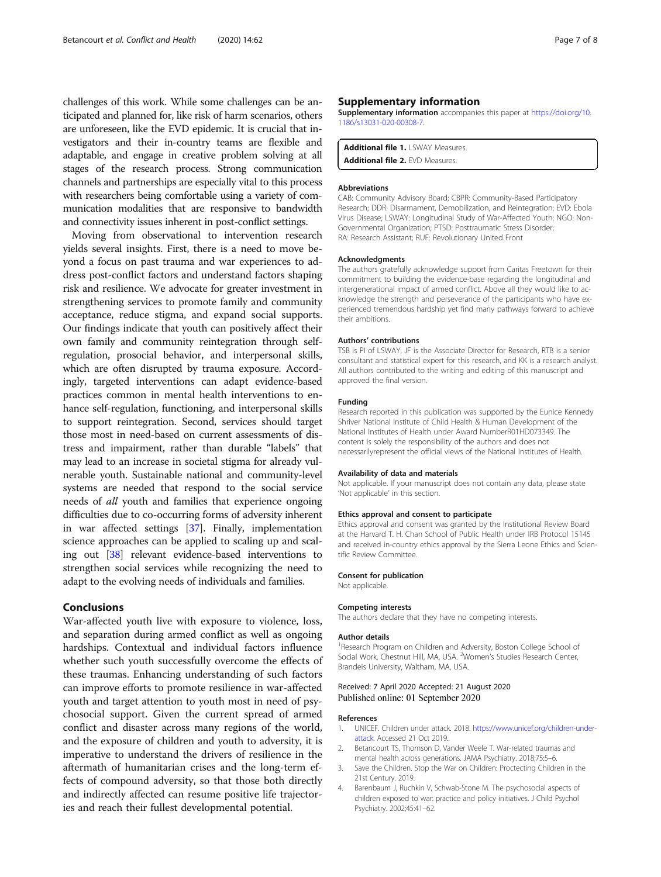<span id="page-6-0"></span>challenges of this work. While some challenges can be anticipated and planned for, like risk of harm scenarios, others are unforeseen, like the EVD epidemic. It is crucial that investigators and their in-country teams are flexible and adaptable, and engage in creative problem solving at all stages of the research process. Strong communication channels and partnerships are especially vital to this process with researchers being comfortable using a variety of communication modalities that are responsive to bandwidth and connectivity issues inherent in post-conflict settings.

Moving from observational to intervention research yields several insights. First, there is a need to move beyond a focus on past trauma and war experiences to address post-conflict factors and understand factors shaping risk and resilience. We advocate for greater investment in strengthening services to promote family and community acceptance, reduce stigma, and expand social supports. Our findings indicate that youth can positively affect their own family and community reintegration through selfregulation, prosocial behavior, and interpersonal skills, which are often disrupted by trauma exposure. Accordingly, targeted interventions can adapt evidence-based practices common in mental health interventions to enhance self-regulation, functioning, and interpersonal skills to support reintegration. Second, services should target those most in need-based on current assessments of distress and impairment, rather than durable "labels" that may lead to an increase in societal stigma for already vulnerable youth. Sustainable national and community-level systems are needed that respond to the social service needs of all youth and families that experience ongoing difficulties due to co-occurring forms of adversity inherent in war affected settings [\[37](#page-7-0)]. Finally, implementation science approaches can be applied to scaling up and scaling out [[38](#page-7-0)] relevant evidence-based interventions to strengthen social services while recognizing the need to adapt to the evolving needs of individuals and families.

### Conclusions

War-affected youth live with exposure to violence, loss, and separation during armed conflict as well as ongoing hardships. Contextual and individual factors influence whether such youth successfully overcome the effects of these traumas. Enhancing understanding of such factors can improve efforts to promote resilience in war-affected youth and target attention to youth most in need of psychosocial support. Given the current spread of armed conflict and disaster across many regions of the world, and the exposure of children and youth to adversity, it is imperative to understand the drivers of resilience in the aftermath of humanitarian crises and the long-term effects of compound adversity, so that those both directly and indirectly affected can resume positive life trajectories and reach their fullest developmental potential.

### Supplementary information

Supplementary information accompanies this paper at [https://doi.org/10.](https://doi.org/10.1186/s13031-020-00308-7) [1186/s13031-020-00308-7](https://doi.org/10.1186/s13031-020-00308-7).

Additional file 1. I SWAY Measures. Additional file 2. EVD Measures.

#### Abbreviations

CAB: Community Advisory Board; CBPR: Community-Based Participatory Research; DDR: Disarmament, Demobilization, and Reintegration; EVD: Ebola Virus Disease; LSWAY: Longitudinal Study of War-Affected Youth; NGO: Non-Governmental Organization; PTSD: Posttraumatic Stress Disorder; RA: Research Assistant; RUF: Revolutionary United Front

#### Acknowledgments

The authors gratefully acknowledge support from Caritas Freetown for their commitment to building the evidence-base regarding the longitudinal and intergenerational impact of armed conflict. Above all they would like to acknowledge the strength and perseverance of the participants who have experienced tremendous hardship yet find many pathways forward to achieve their ambitions.

#### Authors' contributions

TSB is PI of LSWAY, JF is the Associate Director for Research, RTB is a senior consultant and statistical expert for this research, and KK is a research analyst. All authors contributed to the writing and editing of this manuscript and approved the final version.

#### Funding

Research reported in this publication was supported by the Eunice Kennedy Shriver National Institute of Child Health & Human Development of the National Institutes of Health under Award NumberR01HD073349. The content is solely the responsibility of the authors and does not necessarilyrepresent the official views of the National Institutes of Health.

#### Availability of data and materials

Not applicable. If your manuscript does not contain any data, please state 'Not applicable' in this section.

#### Ethics approval and consent to participate

Ethics approval and consent was granted by the Institutional Review Board at the Harvard T. H. Chan School of Public Health under IRB Protocol 15145 and received in-country ethics approval by the Sierra Leone Ethics and Scientific Review Committee.

#### Consent for publication

Not applicable.

### Competing interests

The authors declare that they have no competing interests.

#### Author details

<sup>1</sup> Research Program on Children and Adversity, Boston College School of Social Work, Chestnut Hill, MA, USA. <sup>2</sup>Women's Studies Research Center Brandeis University, Waltham, MA, USA.

### Received: 7 April 2020 Accepted: 21 August 2020 Published online: 01 September 2020

### References

- 1. UNICEF. Children under attack. 2018. [https://www.unicef.org/children-under](https://www.unicef.org/children-under-attack)[attack](https://www.unicef.org/children-under-attack). Accessed 21 Oct 2019..
- 2. Betancourt TS, Thomson D, Vander Weele T. War-related traumas and mental health across generations. JAMA Psychiatry. 2018;75:5–6.
- 3. Save the Children. Stop the War on Children: Proctecting Children in the 21st Century. 2019.
- 4. Barenbaum J, Ruchkin V, Schwab-Stone M. The psychosocial aspects of children exposed to war: practice and policy initiatives. J Child Psychol Psychiatry. 2002;45:41–62.